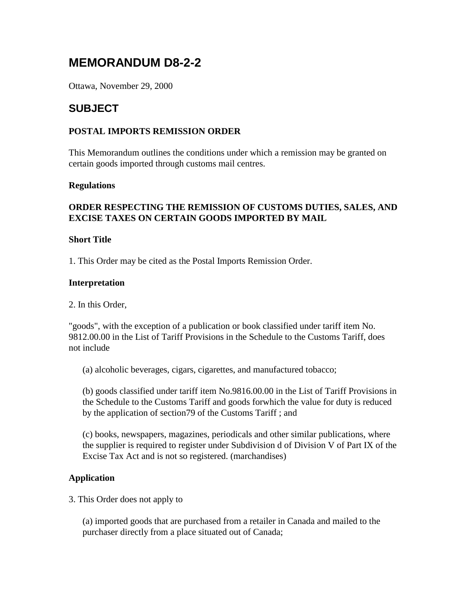# **MEMORANDUM D8-2-2**

Ottawa, November 29, 2000

# **SUBJECT**

# **POSTAL IMPORTS REMISSION ORDER**

This Memorandum outlines the conditions under which a remission may be granted on certain goods imported through customs mail centres.

### **Regulations**

# **ORDER RESPECTING THE REMISSION OF CUSTOMS DUTIES, SALES, AND EXCISE TAXES ON CERTAIN GOODS IMPORTED BY MAIL**

### **Short Title**

1. This Order may be cited as the Postal Imports Remission Order.

#### **Interpretation**

2. In this Order,

"goods", with the exception of a publication or book classified under tariff item No. 9812.00.00 in the List of Tariff Provisions in the Schedule to the Customs Tariff, does not include

(a) alcoholic beverages, cigars, cigarettes, and manufactured tobacco;

(b) goods classified under tariff item No.9816.00.00 in the List of Tariff Provisions in the Schedule to the Customs Tariff and goods forwhich the value for duty is reduced by the application of section79 of the Customs Tariff ; and

(c) books, newspapers, magazines, periodicals and other similar publications, where the supplier is required to register under Subdivision d of Division V of Part IX of the Excise Tax Act and is not so registered. (marchandises)

### **Application**

3. This Order does not apply to

(a) imported goods that are purchased from a retailer in Canada and mailed to the purchaser directly from a place situated out of Canada;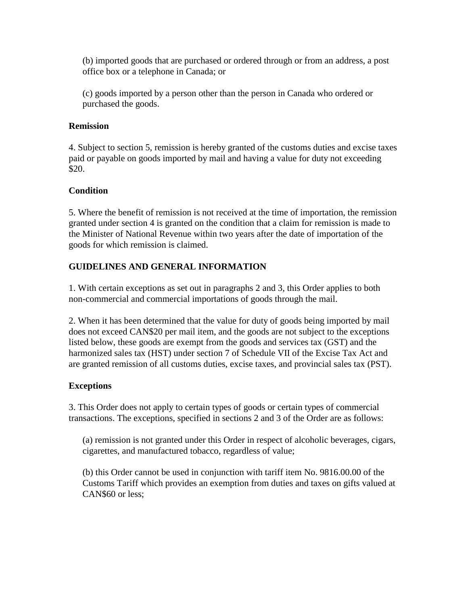(b) imported goods that are purchased or ordered through or from an address, a post office box or a telephone in Canada; or

(c) goods imported by a person other than the person in Canada who ordered or purchased the goods.

# **Remission**

4. Subject to section 5, remission is hereby granted of the customs duties and excise taxes paid or payable on goods imported by mail and having a value for duty not exceeding \$20.

# **Condition**

5. Where the benefit of remission is not received at the time of importation, the remission granted under section 4 is granted on the condition that a claim for remission is made to the Minister of National Revenue within two years after the date of importation of the goods for which remission is claimed.

# **GUIDELINES AND GENERAL INFORMATION**

1. With certain exceptions as set out in paragraphs 2 and 3, this Order applies to both non-commercial and commercial importations of goods through the mail.

2. When it has been determined that the value for duty of goods being imported by mail does not exceed CAN\$20 per mail item, and the goods are not subject to the exceptions listed below, these goods are exempt from the goods and services tax (GST) and the harmonized sales tax (HST) under section 7 of Schedule VII of the Excise Tax Act and are granted remission of all customs duties, excise taxes, and provincial sales tax (PST).

# **Exceptions**

3. This Order does not apply to certain types of goods or certain types of commercial transactions. The exceptions, specified in sections 2 and 3 of the Order are as follows:

(a) remission is not granted under this Order in respect of alcoholic beverages, cigars, cigarettes, and manufactured tobacco, regardless of value;

(b) this Order cannot be used in conjunction with tariff item No. 9816.00.00 of the Customs Tariff which provides an exemption from duties and taxes on gifts valued at CAN\$60 or less;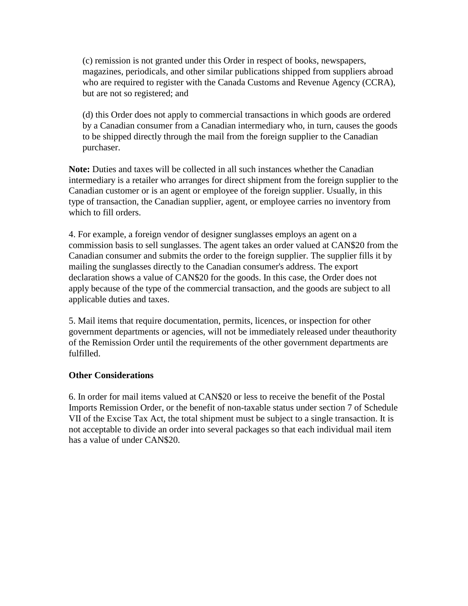(c) remission is not granted under this Order in respect of books, newspapers, magazines, periodicals, and other similar publications shipped from suppliers abroad who are required to register with the Canada Customs and Revenue Agency (CCRA), but are not so registered; and

(d) this Order does not apply to commercial transactions in which goods are ordered by a Canadian consumer from a Canadian intermediary who, in turn, causes the goods to be shipped directly through the mail from the foreign supplier to the Canadian purchaser.

**Note:** Duties and taxes will be collected in all such instances whether the Canadian intermediary is a retailer who arranges for direct shipment from the foreign supplier to the Canadian customer or is an agent or employee of the foreign supplier. Usually, in this type of transaction, the Canadian supplier, agent, or employee carries no inventory from which to fill orders.

4. For example, a foreign vendor of designer sunglasses employs an agent on a commission basis to sell sunglasses. The agent takes an order valued at CAN\$20 from the Canadian consumer and submits the order to the foreign supplier. The supplier fills it by mailing the sunglasses directly to the Canadian consumer's address. The export declaration shows a value of CAN\$20 for the goods. In this case, the Order does not apply because of the type of the commercial transaction, and the goods are subject to all applicable duties and taxes.

5. Mail items that require documentation, permits, licences, or inspection for other government departments or agencies, will not be immediately released under theauthority of the Remission Order until the requirements of the other government departments are fulfilled.

### **Other Considerations**

6. In order for mail items valued at CAN\$20 or less to receive the benefit of the Postal Imports Remission Order, or the benefit of non-taxable status under section 7 of Schedule VII of the Excise Tax Act, the total shipment must be subject to a single transaction. It is not acceptable to divide an order into several packages so that each individual mail item has a value of under CAN\$20.